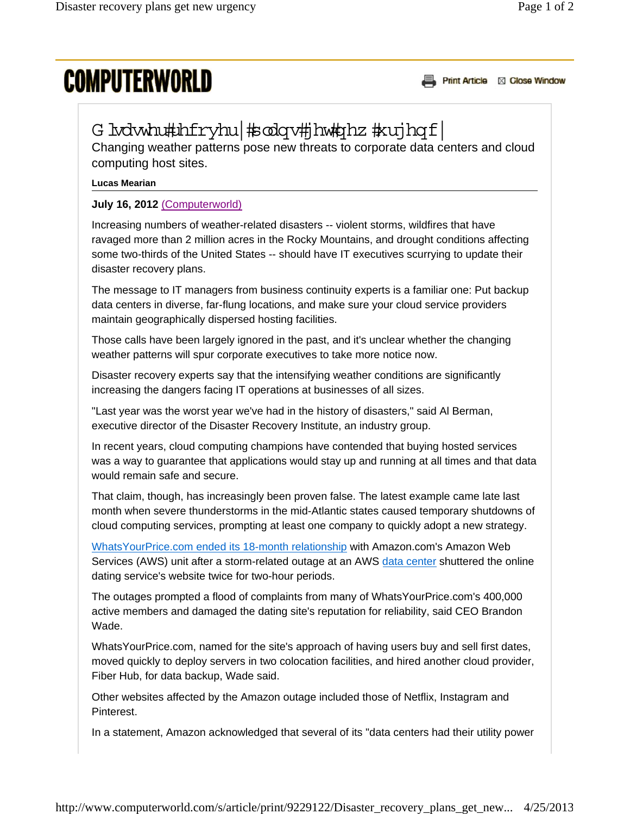## **COMPUTERWORLD**

Print Article & Close Window

## G isdwhu#uhfryhu|#sodqv#jhw#qhz #xujhqf|

Changing weather patterns pose new threats to corporate data centers and cloud computing host sites.

## **Lucas Mearian**

## **July 16, 2012** (Computerworld)

Increasing numbers of weather-related disasters -- violent storms, wildfires that have ravaged more than 2 million acres in the Rocky Mountains, and drought conditions affecting some two-thirds of the United States -- should have IT executives scurrying to update their disaster recovery plans.

The message to IT managers from business continuity experts is a familiar one: Put backup data centers in diverse, far-flung locations, and make sure your cloud service providers maintain geographically dispersed hosting facilities.

Those calls have been largely ignored in the past, and it's unclear whether the changing weather patterns will spur corporate executives to take more notice now.

Disaster recovery experts say that the intensifying weather conditions are significantly increasing the dangers facing IT operations at businesses of all sizes.

"Last year was the worst year we've had in the history of disasters," said Al Berman, executive director of the Disaster Recovery Institute, an industry group.

In recent years, cloud computing champions have contended that buying hosted services was a way to guarantee that applications would stay up and running at all times and that data would remain safe and secure.

That claim, though, has increasingly been proven false. The latest example came late last month when severe thunderstorms in the mid-Atlantic states caused temporary shutdowns of cloud computing services, prompting at least one company to quickly adopt a new strategy.

WhatsYourPrice.com ended its 18-month relationship with Amazon.com's Amazon Web Services (AWS) unit after a storm-related outage at an AWS data center shuttered the online dating service's website twice for two-hour periods.

The outages prompted a flood of complaints from many of WhatsYourPrice.com's 400,000 active members and damaged the dating site's reputation for reliability, said CEO Brandon Wade.

WhatsYourPrice.com, named for the site's approach of having users buy and sell first dates, moved quickly to deploy servers in two colocation facilities, and hired another cloud provider, Fiber Hub, for data backup, Wade said.

Other websites affected by the Amazon outage included those of Netflix, Instagram and Pinterest.

In a statement, Amazon acknowledged that several of its "data centers had their utility power